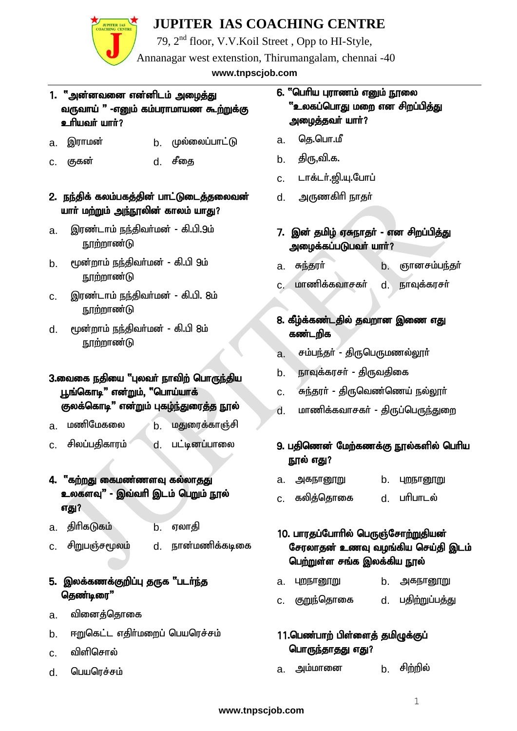

79, 2nd floor, V.V.Koil Street , Opp to HI-Style,

Annanagar west extenstion, Thirumangalam, chennai -40

Cell: 81483 35766, 84281 76158 **www.tnpscjob.com**

#### 1. "அன்னவனை என்னிடம் <u>அழைத்து</u> வருவாய் " -எனும் கம்பராமாயண கூற்றுக்கு c mini in m<sup>i</sup>r?

- a. இராமன் b. முல்லைப்பாட்டு
- c. குகன் d. சீதை
- 2. நந்திக் கலம்பகத்தின் பாட்டுடைத்தலைவன் யாா் மற்றும் அந்நூலின் காலம் யாது?
- a. இரண்டாம் நந்திவர்மன் கி.பி.9ம்  $\mathsf{I}$ ந $\mathsf{I}$ ர்றூர்ண $\mathsf{I}$
- b. முன்றாம் நந்திவர்மன் கி.பி 9ம் ந $\prod$ ற்றாண்டு
- c. இரண்டாம் நந்திவர்மன் கி.பி. 8ம்  $n \pi$ ற்றாண்டு
- d. மூன்றாம் நந்திவர்மன் கி.பி 8ம் <u>நூற்றாண்டு</u>

#### 3.வைகை நகியை "புலவா் நாவிா் பொருந்திய பூங்கொடி" என்றும், "பொய்யாக் குலக்கொடி" என்றும் புகழ்ந்துரைத்த நூல்

- a. மணிமேகலை *b*. மதுரைக்காஞ்சி
- c. சிலப்பதிகாரம் <u>d. பட்டினப்பா</u>லை

#### 4. "கற்றது கைமண்ணளவு கல்லாகது உலகளவு" - இவ்வரி இடம் பெறும் நூல் எது?

- a. திரிகடுகம் b. ஏலாதி
- c. சிறுபஞ்சமூலம் d. நான்மணிக்கடிகை

#### 5. இலக்கணக்குறிப்பு தருக "படர்ந்த தெண்டிரை"

- a. வினைத்தொகை
- b. ஈறுகெட்ட எகிர்மறைப் பெயரெச்சம்
- $c_n$  விளிசொல்
- d. பெயரெச்சம்

#### 6. "பெரிய புராணம் எனும் நூலை <u>"உலகப்பொது மறை என சிறப்பித்து</u> அமைத்தவர் யார்?

- a. தெ.பொ.மீ
- b. திரு,வி.க.
- c. டாக்டர்.<u>வ</u>ி.யு.போப்
- d. அருணகிரி நாகுர்
- 7. இன் தமிழ் ஏசுநாதர் என சிறப்பித்து அழைக்கப்படுபவர் யார்?
- $a$ . சுந்தூர் b. ஞானசம்பந்தர்
- c. மாணிக்கவாசகா் d. நாவுக்கரசா்

#### 8. கீழ்க்கண்டதில் தவறான இணை எது கண்டறிக

- a. சம்பந்தர் திருபெருமணல்லார்
- b. நாவுக்கரசர் திருவதிகை
- <u>c. கந்த</u>ரா் திருவெண்ணெய் நல்லூா்
- d. மாணிக்கவாசகர் திருப்பெ<u>ருந்துறை</u>

#### 9. பகிணென் மேற்கணக்கு நூல்களில் பெரிய நூல் எது?

- a. அகநானூறு **b. புறநானூ**று
- c. கலித்தொகை d. பாிபாடல்

#### 10. பாரதப்போரில் பெருஞ்சோற்றுதியன் சேரலாதன் உணவு வழங்கிய செய்தி இடம் பெற்றுள்ள சங்க இலக்கிய நூல்

- a. புறநானூறு **b. அகநானூறு**
- c. குறுந்தொகை d. பதிற்றுப்பத்து

#### 11.பெண்பாற் பிள்ளைத் தமிழுக்குப் பொருந்தாதது எது?

a. அம்மானை b. சிற்றில்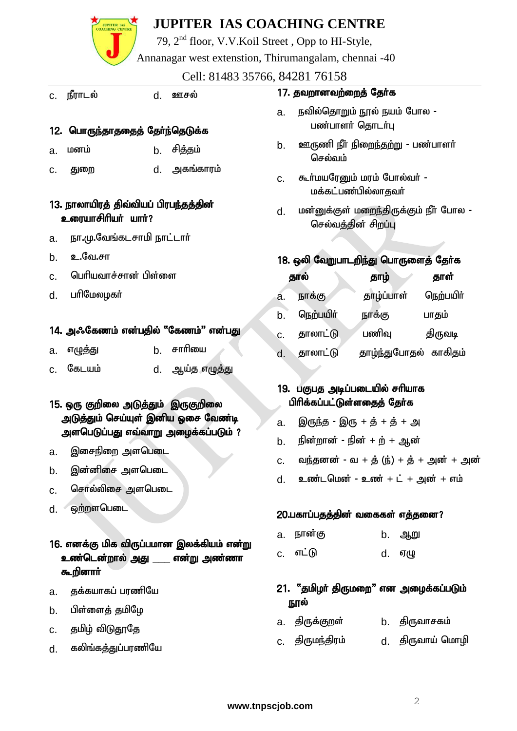79, 2nd floor, V.V.Koil Street , Opp to HI-Style,

Annanagar west extenstion, Thirumangalam, chennai -40

Cell: 81483 35766, 84281 76158

- c. நீராடல் d. ஊசல் 12. பொருந்தாததைத் தேர்ந்தெடுக்க a. மனம் b. சிக்கும் c. Jiw d. mfq;fhuk; 13. நாலாயிரக் கிவ்வியப் பிரபந்தத்தின் உரையாசிரியர் யார்? a. நா.மு.வேங்கடசாமி நாட்டார் b. **உ.**வே.சா c. பெரியவாச்சான் பிள்ளை d. பரிமேலமகர் 14. அஃகேணம் என்பதில் "கேணம்" என்பது a. எழுத்து b. சாரியை c. கேடயம் d. ஆய்த எழுத்து 15. ஒரு குறிலை அடுத்தும் இருகுறிலை அடுத்தும் செய்யுள் இனிய ஒசை வேண்டி அளபெடுப்பது எவ்வாறு அழைக்கப்படும் ? a. இசைநிறை அளபெடை b. இன்னிசை அளபெடை  $c.$  சொல்லிசை அளபெடை  $d.$   $\qquad \qquad \bullet$   $\qquad$   $\bullet$   $\qquad \qquad \bullet$   $\qquad \qquad \bullet$   $\qquad \qquad \bullet$   $\qquad \qquad \bullet$ 16. எனக்கு மிக விருப்பமான இலக்கியம் என்று உண்டென்<u>றால் அது</u> என்று அண்ணா கூறினா**ர்** a. தக்கயாகப் பரணியே b. பிள்ளைத் தமிழே c. தமிழ் விடுதூதே 17. தவறானவற்றைத் தேர்க a. நவில்கொறும் நூல் நயம் போல -பண்பாளர் தொடர்பு <u>b. ஊருணி நீர் நிறைந்தற்று</u> - பண்பாளர் செல்வம் $\overline{\mathbf{r}}$ c. கூர்மயரேனும் மரம் போல்வர் -மக்கட்பண்பில்லாதவர் d. மன்னுக்குள் மறைந்திருக்கும் நீர் போல -செல்வத்தின் சிறப்பு 18. ஒலி வேறுபாடறிந்து பொருளைத் தேர்க தால் தாழ் தாள் a. நாக்கு <u>தாழ்</u>ப்பாள் நெற்பயிர் b. நெற்பயிர் நாக்கு பாகும்  $c.$  தாலாட்டு பணிவு திருவடி d. தாலாட்டு தாழ்ந்துபோதல் காகிகும் 19. பகுபத அடிப்படையில் சரியாக பிரிக்கப்பட்டுள்ளதைத் தேர்க  $a.$  இருந்த - இரு + த் + த் + அ  $b.$  நின்றான் - நின் + ற் + ஆன்  $c.$  வந்தனன் - வ + த் (ந்) + த் + அன் + அன்  $d.$  உண்டமென் - உண் $+$ ட் $+$  அன் $+$  எம் 20.பகாப்பதத்தின் வகைகள் எத்தனை? a. நான்கு b. ஆறு c. vl;L d. VO 21. "தமிழர் திருமறை" என அழைக்கப்படும் நூல் a. திருக்குறள் b. திருவாசகம்
	- c. திருமந்திரம் d. திருவாய் மொழி

d. கலிங்கத்துப்பரணியே

**JUPITER IAS**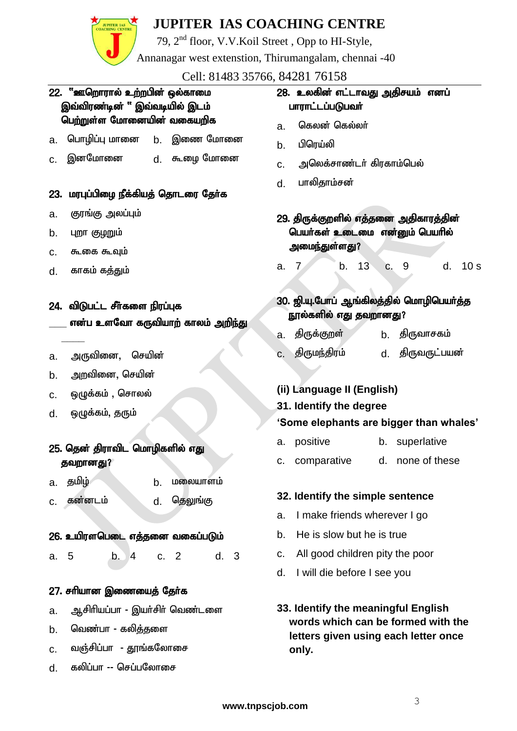

79, 2nd floor, V.V.Koil Street , Opp to HI-Style,

Annanagar west extenstion, Thirumangalam, chennai -40

Cell: 81483 35766, 84281 76158

#### 22. "ஊறொரால் உற்றபின் ஒல்காமை இவ்விரண்டின் " இவ்வடியில் இடம் பெற்றுள்ள மோனையின் வகையறிக

- a. பொழிப்பு மானை b. இணை மோனை
- c. இனமோனை d. கூமை மோனை

#### 23. மரபுப்பிழை நீக்கியத் தொடரை தேர்க

- a. குரங்கு அலப்பும்
- $b.$  புறா குழறும்
- $c.$   $\sigma$   $\sim$   $\sigma$  $\sigma$  $\sigma$  $\sim$   $\sigma$  $\sim$
- d. காகம் கக்தும்

**\_\_\_\_**

#### 24. விடுபட்ட சீர்களை நிரப்புக

என்ப உளவோ கருவியாற் காலம் அறி<u>ந்த</u>ு

- a. அருவினை, செயின்
- b. அறவினை, செயின்
- c. ஒழுக்கம் , சொலல்
- d. ஒழுக்கம், தரும்

#### 25. தென் திராவிட மொழிகளில் எது தவறானது?

- a. குமிழ் <sup>b.</sup> b. மலையாளம்
- c. கன்னடம் d. தெலுங்கு

#### 26. உயிரளபெடை எத்தனை வகைப்படும்

a. 5 b. 4 c. 2 d. 3

#### 27. சரியான இணையைத் தேர்க

- a. ஆசிரியப்பா இயர்சிர் வெண்டளை
- b. வெண்பா கலித்தளை
- c. வஞ்சிப்பா தூங்கலோசை
- d. கலிப்பா -- செப்பலோசை

#### 28. உலகின் எட்டாவது அகிசயம் எனப் பாராட்டப்படுபவர்

- a. <mark>கெலன் கெல்லர்</mark>
- b. பிரெய்லி
- c. அலெக்சாண்டர் கிரகாம்பெல்
- d. பாலிதாம்சன்

29. திருக்குறளில் எத்தனை அதிகாரத்தின் பெயர்கள் உடைமை என்னும் பெயரில் அமைந்துள்ளது?

a. 7 b. 13 c. 9 d. 10 s

#### 30. ஜி.யு.போப் ஆங்கிலத்தில் மொழிபெயர்த்த நூல்களில் எது தவறானது?

- a. திருக்குறள் b. திருவாசகம்
- c. jpUke;jpuk; d. jpUtUl;gad;

#### **(ii) Language II (English)**

#### **31. Identify the degree**

#### **'Some elephants are bigger than whales'**

- a. positive b. superlative
- c. comparative d. none of these

#### **32. Identify the simple sentence**

- a. I make friends wherever I go
- b. He is slow but he is true
- c. All good children pity the poor
- d. I will die before I see you
- **33. Identify the meaningful English words which can be formed with the letters given using each letter once only.**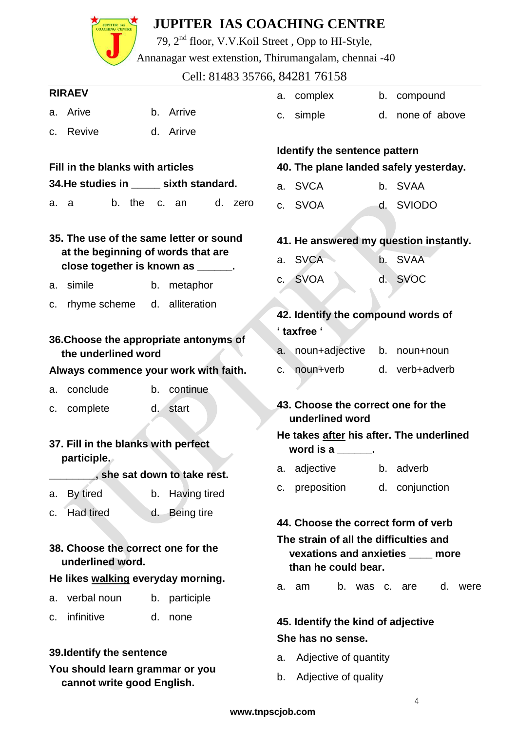|    | <b>JUPITER IAS</b>                                                       |                      | <b>JUPITER IAS COACHING CENTRE</b> |  |                                                 |                                                                                                    |    |                |  |         |  |  |  |
|----|--------------------------------------------------------------------------|----------------------|------------------------------------|--|-------------------------------------------------|----------------------------------------------------------------------------------------------------|----|----------------|--|---------|--|--|--|
|    |                                                                          |                      |                                    |  |                                                 | 79, 2 <sup>nd</sup> floor, V.V.Koil Street, Opp to HI-Style,                                       |    |                |  |         |  |  |  |
|    |                                                                          |                      |                                    |  |                                                 | Annanagar west extenstion, Thirumangalam, chennai -40                                              |    |                |  |         |  |  |  |
|    |                                                                          |                      |                                    |  |                                                 | Cell: 81483 35766, 84281 76158                                                                     |    |                |  |         |  |  |  |
|    | <b>RIRAEV</b>                                                            |                      |                                    |  | a.                                              | complex                                                                                            | b. | compound       |  |         |  |  |  |
| а. | Arive                                                                    | Arrive<br>$b_{1}$    |                                    |  | C.                                              | simple                                                                                             | d. | none of above  |  |         |  |  |  |
| C. | Revive                                                                   | d. Arirve            |                                    |  |                                                 |                                                                                                    |    |                |  |         |  |  |  |
|    |                                                                          |                      |                                    |  |                                                 | Identify the sentence pattern                                                                      |    |                |  |         |  |  |  |
|    | Fill in the blanks with articles                                         |                      |                                    |  | 40. The plane landed safely yesterday.          |                                                                                                    |    |                |  |         |  |  |  |
|    | 34. He studies in ______ sixth standard.                                 |                      |                                    |  | a.                                              | <b>SVCA</b>                                                                                        |    | b. SVAA        |  |         |  |  |  |
| a. | b. the<br>a                                                              | C.<br>an             | d. zero                            |  | $C_{1}$                                         | SVOA                                                                                               | d. | <b>SVIODO</b>  |  |         |  |  |  |
|    | 35. The use of the same letter or sound                                  |                      |                                    |  |                                                 | 41. He answered my question instantly.                                                             |    |                |  |         |  |  |  |
|    | at the beginning of words that are<br>close together is known as ______. |                      |                                    |  |                                                 | <b>SVCA</b><br><b>SVAA</b><br>$b_{\cdot}$<br>a.                                                    |    |                |  |         |  |  |  |
| a. | simile                                                                   | b.                   | metaphor                           |  |                                                 | c. SVOA                                                                                            |    | d. SVOC        |  |         |  |  |  |
| c. | rhyme scheme                                                             | d. alliteration      |                                    |  |                                                 |                                                                                                    |    |                |  |         |  |  |  |
|    |                                                                          |                      |                                    |  |                                                 | 42. Identify the compound words of<br>' taxfree '                                                  |    |                |  |         |  |  |  |
|    | 36. Choose the appropriate antonyms of                                   |                      |                                    |  |                                                 | noun+adjective                                                                                     | b. |                |  |         |  |  |  |
|    | the underlined word                                                      |                      |                                    |  | a.                                              |                                                                                                    |    | noun+noun      |  |         |  |  |  |
|    | Always commence your work with faith.                                    |                      |                                    |  | C.                                              | noun+verb                                                                                          |    | d. verb+adverb |  |         |  |  |  |
| a. | conclude                                                                 | continue<br>b.       |                                    |  |                                                 | 43. Choose the correct one for the                                                                 |    |                |  |         |  |  |  |
|    | c. complete                                                              | $d_{\cdot}$<br>start |                                    |  |                                                 | underlined word                                                                                    |    |                |  |         |  |  |  |
|    |                                                                          |                      |                                    |  | He takes after his after. The underlined        |                                                                                                    |    |                |  |         |  |  |  |
|    | 37. Fill in the blanks with perfect<br>participle.                       |                      |                                    |  | word is a $\frac{1}{\sqrt{1-\frac{1}{2}}}\cdot$ |                                                                                                    |    |                |  |         |  |  |  |
|    | she sat down to take rest.                                               |                      |                                    |  | а.                                              | adjective                                                                                          |    | b. adverb      |  |         |  |  |  |
| а. | By tired                                                                 | b. Having tired      |                                    |  | c.                                              | preposition                                                                                        |    | d. conjunction |  |         |  |  |  |
| c. | <b>Had tired</b>                                                         | d.                   | Being tire                         |  |                                                 |                                                                                                    |    |                |  |         |  |  |  |
|    |                                                                          |                      |                                    |  |                                                 | 44. Choose the correct form of verb                                                                |    |                |  |         |  |  |  |
|    | 38. Choose the correct one for the<br>underlined word.                   |                      |                                    |  |                                                 | The strain of all the difficulties and<br>vexations and anxieties ____ more<br>than he could bear. |    |                |  |         |  |  |  |
|    | He likes walking everyday morning.                                       |                      |                                    |  | a.                                              | am                                                                                                 |    | b. was c. are  |  | d. were |  |  |  |
| а. | verbal noun                                                              | b. participle        |                                    |  |                                                 |                                                                                                    |    |                |  |         |  |  |  |
| C. | infinitive                                                               | d. none              |                                    |  |                                                 | 45. Identify the kind of adjective                                                                 |    |                |  |         |  |  |  |
|    |                                                                          |                      |                                    |  |                                                 | She has no sense.                                                                                  |    |                |  |         |  |  |  |
|    | 39. Identify the sentence                                                |                      |                                    |  | a.                                              | Adjective of quantity                                                                              |    |                |  |         |  |  |  |
|    | You should learn grammar or you<br>cannot write good English.            |                      | Adjective of quality<br>b.         |  |                                                 |                                                                                                    |    |                |  |         |  |  |  |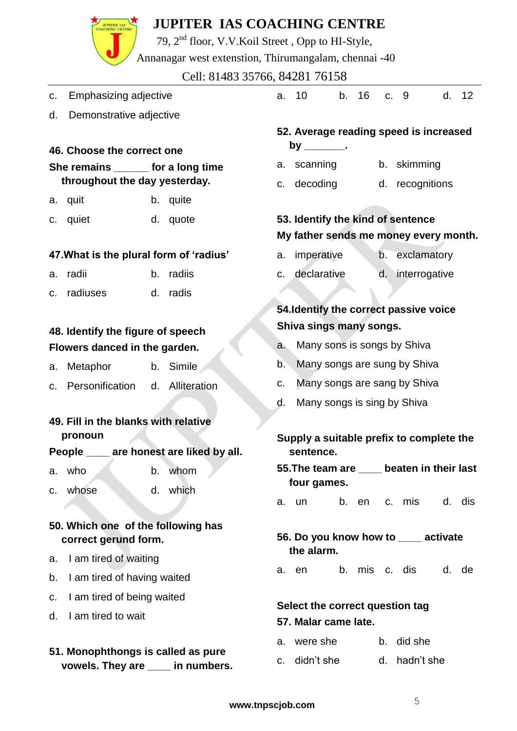79, 2nd floor, V.V.Koil Street , Opp to HI-Style,

Annanagar west extenstion, Thirumangalam, chennai -40

#### Cell: 81483 35766, 84281 76158

c. Emphasizing adjective

**JUPITER IAS** 

- d. Demonstrative adjective
- **46. Choose the correct one**

#### **She remains \_\_\_\_\_\_ for a long time throughout the day yesterday.**

- a. quit b. quite
- c. quiet d. quote

#### **47.What is the plural form of 'radius'**

- a. radii b. radiis
- c. radiuses d. radis

#### **48. Identify the figure of speech Flowers danced in the garden.**

- a. Metaphor b. Simile
- c. Personification d. Alliteration

#### **49. Fill in the blanks with relative pronoun**

#### **People \_\_\_\_ are honest are liked by all.**

- a. who b. whom
- c. whose d. which

#### **50. Which one of the following has correct gerund form.**

- a. I am tired of waiting
- b. I am tired of having waited
- c. I am tired of being waited
- d. I am tired to wait

#### **51. Monophthongs is called as pure vowels. They are \_\_\_\_ in numbers.**

a. 10 b. 16 c. 9 d. 12

#### **52. Average reading speed is increased by \_\_\_\_\_\_\_.**

- a. scanning b. skimming
- c. decoding d. recognitions

### **53. Identify the kind of sentence My father sends me money every month.**

- a. imperative b. exclamatory
- c. declarative d. interrogative

#### **54.Identify the correct passive voice Shiva sings many songs.**

- a. Many sons is songs by Shiva
- b. Many songs are sung by Shiva
- c. Many songs are sang by Shiva
- d. Many songs is sing by Shiva

#### **Supply a suitable prefix to complete the sentence.**

- **55.The team are \_\_\_\_ beaten in their last four games.**
- a. un b. en c. mis d. dis

**56. Do you know how to \_\_\_\_ activate the alarm.**

a. en b. mis c. dis d. de

#### **Select the correct question tag 57. Malar came late.**

- a. were she b. did she
- c. didn't she d. hadn't she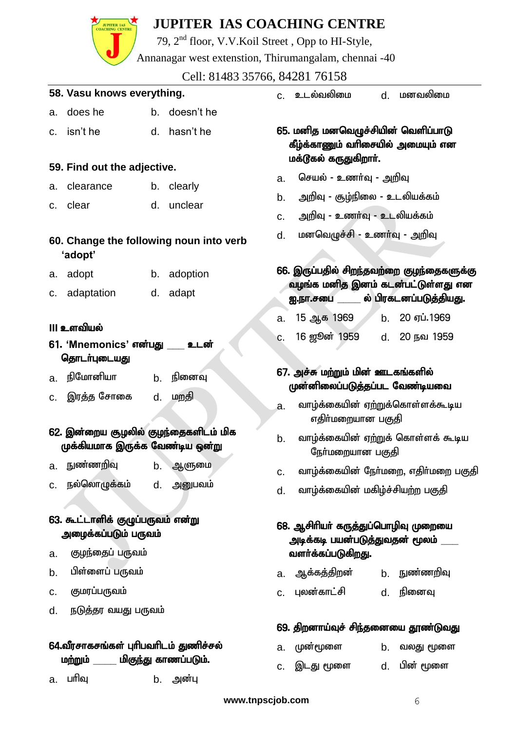# **JUPITER IAS**

## **JUPITER IAS COACHING CENTRE**

79, 2nd floor, V.V.Koil Street , Opp to HI-Style,

Annanagar west extenstion, Thirumangalam, chennai -40

Cell: 81483 35766, 84281 76158

#### **58. Vasu knows everything.**

- a. does he b. doesn't he
- c. isn't he d. hasn't he

#### **59. Find out the adjective.**

- a. clearance b. clearly
- c. clear d. unclear
- **60. Change the following noun into verb 'adopt'**
- a. adopt b. adoption
- c. adaptation d. adapt

#### **III உளவியல்**

- **61. 'Mnemonics' என்பது உடன்** தொடர்புடையது
- a நிமோனியா b நினைவ
- c. இரக்க சோகை d. மறதி
- 62. இன்றைய சூழலில் குழந்தைகளிடம் மிக முக்கியமாக இருக்க வேண்டிய ஒன்று
- a. நுண்ணறிவு b. ஆளுமை c. நல்லொழுக்கம் d. அனுபவம்
- 63. கூட்டாளிக் குழுப்பருவம் என்று அழைக்கப்படும் பருவம்
- a. குழந்தைப் பருவம்
- b. பிள்ளைப் பருவம்
- c. குமரப்பருவம்
- <u>d. நடுத்தர வயது பருவம்</u>

#### 64.வீரசாகசங்கள் புரிபவரிடம் துணிச்சல் <u>மற்று</u>ம் மிகுந்து காணப்படும்.

a. பரிவு b. அன்பு

c. உடல்வலிமை d. மனவலிமை

- 65. மனித மனவெமுச்சியின் வெளிப்பாடு கீழ்க்காணும் வரிசையில் அமையும் என மக்டூகல் கருதுகிறாா்.
- a. செயல் உணர்வு அறிவு
- b. அறிவு சூழ்நிலை உடலியக்கம்
- <u>c. அறிவு உணர்வு உடலியக்கம்</u>
- d. மனவெழுச்சி உணர்வு <u>அ</u>றிவு

#### 66. இருப்பதில் சிறந்தவற்றை குழந்தைகளுக்கு வழங்க மனித இனம் கடன்பட்டுள்ளது என <u>ஐ.நா.சபை \_\_\_\_\_\_</u> ல் பிரகடனப்படுத்தியது.

|    | a. 15 ஆக 1969 | b. 20 ஏப்.1969 |
|----|---------------|----------------|
| C. | 16 ஜூன் 1959  | d. 20 நவ 1959  |

- 67. அச்சு மற்றும் மின் ஊடகங்களில் முன்னிலைப்படுத்தப்பட வேண்டியவை
- <u>a. வாழ்க்கையின் ஏற்று</u>க்கொள்ளக்கூடிய எகிா்மறையான பகுகி
- b. வாழ்க்கையின் ஏற்றுக் கொள்ளக் கூடிய நேர்மறையான பகுதி
- c. வாழ்க்கையின் நேர்மறை, எதிர்மறை பகுதி
- d. வாழ்க்கையின் மகிழ்ச்சியற்ற பகுதி

#### 68. ஆசிரியர் கருத்துப்பொழிவு முறையை அடிக்கடி பயன்பட<u>ுத்த</u>ுவதன் மூலம் வளர்க்கப்படுக<u>ிறது.</u>

- a. ஆக்கத்திறன் b. நுண்ணறிவு
- c. Gyd;fhl;rp d. epidT

#### 69. திறனாய்வுச் சிந்தனையை தூண்டுவ<u>த</u>ு

- a. முன்மூளை b. வலது மூளை
- c. ,lJ %is d. gpd; %is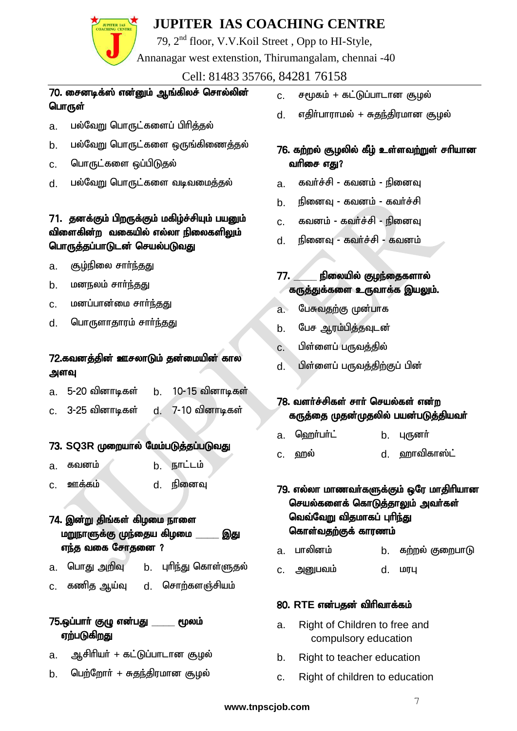# 79, 2nd floor, V.V.Koil Street , Opp to HI-Style,

Annanagar west extenstion, Thirumangalam, chennai -40

#### Cell: 81483 35766, 84281 76158

#### 70. சைனடிக்ஸ் என்னும் ஆங்கிலச் சொல்லின் பொருள்

- a. பல்வேறு பொருட்களைப் பிரித்தல்
- b. பல்வேறு பொருட்களை ஒருங்கிணைத்தல்
- c. பொருட்களை ஒப்பிடுதல்
- d. பல்வேறு பொருட்களை வடிவமைத்தல்

#### 71. தனக்கும் பிறருக்கும் மகிழ்ச்சியும் பயனும் விளைகின்ற வகையில் எல்லா நிலைகளிலும் பொருத்தப்பாடுடன் செயல்படுவது

- $a$ . குழ்நிலை சார்ந்தது
- b. மனநலம் சார்<u>ந்த</u>து
- c. மனப்பான்மை சார்ந்தது
- d. பொருளாதாரம் சார்ந்தது

#### 72.கவனக்கின் ஊசலாடும் கன்மையின் கால அளவு

| a. | 5-20 வினாடிகள்       | 10-15 வினாடிகள் |
|----|----------------------|-----------------|
|    | c.    3-25 வினாடிகள் | 7-10 வினாடிகள்  |

#### 73. SQ3R முறையால் மேம்படுத்தப்படுவது

- $a$ . கவனம் b. நாட்டம் c. Cf;fk; d. epidT
- 74. இன்று திங்கள் கிழமை நாளை மறுநாளுக்கு முந்தைய கிழமை \_\_\_\_\_\_ இது  $\overline{\text{m}}$ ந்த வகை சோதனை ?
- a. பொது அறிவு b. புரிந்து கொள்ளுதல்
- c. கணித ஆய்வு d. சொற்களஞ்சியம்

#### 75.ஒப்பாா் குழு என்பது *\_\_\_\_\_* மூலம் ஏற்படுகிறது

- a. ஆசிரியர் + கட்டுப்பாடான சூழல்
- b. பெற்றோர் + சுதந்திரமான சூழல்
- c. சமூகம் + கட்டுப்பாடான சூழல்
- d. எதிா்பாராமல் + சுதந்திரமான சூமல்

#### 76. கற்றல் சூழலில் கீழ் உள்ளவற்றுள் சரியான வரிசை எது?

- a. கவர்ச்சி கவனம் நினைவு
- b. நினைவு கவனம் கவர்ச்சி
- c. கவனம் கவர்ச்சி நினைவு
- d. நினைவு கவர்ச்சி கவனம்
- 77. கிலையில் குழந்தைகளால் கருத்துக்களை உருவாக்க இயலும்.
- a. பேசுவதற்கு முன்பாக
- b. பேச ஆரம்பித்தவுடன்
- $c.$  பிள்ளைப் பருவத்தில்
- d. பிள்ளைப் பருவத்திற்குப் பின்

#### 78. வளர்ச்சிகள் சார் செயல்கள் என்ற கருத்தை முதன்முதலில் பயன்படுத்தியவா்

- a. <u>ஹெர்பர்ட்</u> b. புருனர்
- c. ஹல் d. ஹாவிகாஸ்ட்

79. எல்லா மாணவா்களுக்கும் ஒரே மாதிாியான செயல்களைக் கொடுத்தாலும் அவர்கள் வெவ்வேறு விதமாகப் புரிந்து கொள்வதற்குக் காரணம்

- a. பாலினம் b. கற்றல் குறைபாடு
- c. mDgtk; d. kuG

#### 80. RTE என்பகன் விரிவாக்கம்

- a. Right of Children to free and compulsory education
- b. Right to teacher education
- c. Right of children to education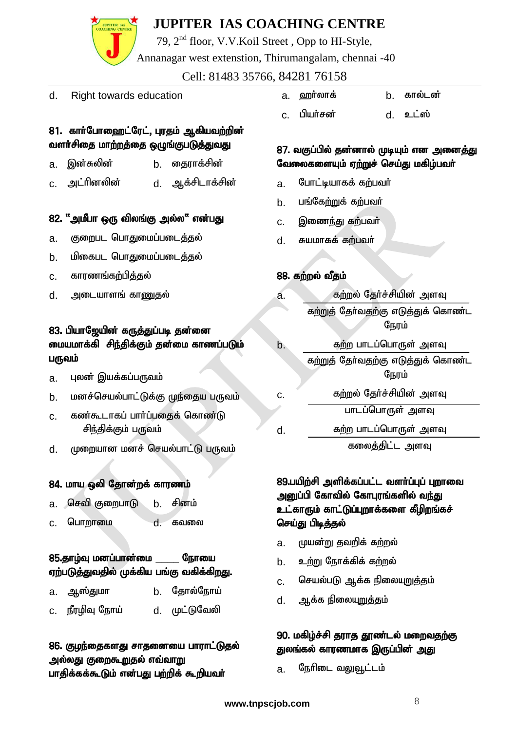79, 2nd floor, V.V.Koil Street , Opp to HI-Style,

Annanagar west extenstion, Thirumangalam, chennai -40

Cell: 81483 35766, 84281 76158

d. Right towards education

#### 81. கார்போஹைட்ரேட், புரதம் ஆகியவற்றின் வளா்சிதை மாற்றத்தை ஒழுங்குபடுத்துவது

- a. இன்சுலின் b. தைராக்சின்
- c. ml;hpdypd; d. Mf;rplhf;rpd;

#### 82. "அமீபா ஒரு விலங்கு அல்ல" என்பது

- a. குறைபட பொதுமைப்படைத்தல்
- b. மிகைபட பொதுமைப்படைத்தல்
- $c.$  காரணங்கற்பிக்குல்
- d. அடையாளங் காணுதல்

#### 83. பியாஜேயின் கருத்துப்படி தன்னை மையமாக்கி சிந்திக்கும் தன்மை காணப்படும் பருவம்

- a. Gyd; ,af;fg;gUtk;
- b. மனச்செயல்பாட்டுக்கு முந்தைய பருவம்
- c. கண்கூடாகப் பார்ப்பதைக் கொண்டு சிந்திக்கும் பருவம்
- d. முறையான மனச் செயல்பாட்டு பருவம்

#### 84. மாய ஒலி தோன்றக் காரணம்

- a. செவி குறைபாடு b. சினம்
- c. பொறாமை d. கவலை

#### 85.தாழ்வு மனப்பான்மை நோயை ஏற்படுத்துவதில் முக்கிய பங்கு வகிக்கிறது.

| a. ஆஸ்துமா      | <b>b.</b> தோல்நோய் |
|-----------------|--------------------|
| c. நீரழிவு நோய் | d. முட்டுவேலி      |

#### 86. குழந்தைகளது சாதனையை பாராட்டுதல் <u>அல்லது</u> குறைக<u>ூற</u>ுதல் எவ்வாறு பாதிக்கக்கூடும் என்பது பற்றிக் கூறியவர்

| а. | ஹாலாக | காலடன |
|----|-------|-------|
|    |       |       |

c. gpah;rd; d. cl;];

#### 87. வகுப்பில் தன்னால் முடியும் என அனைத்து வேலைகளையும் ஏற்றுச் செய்து மகிழ்பவர்

- a. போட்டியாகக் கற்பவர்
- b. பங்கேற்றுக் கற்பவர்
- c. இணைந்து கற்பவர்
- d. சுயமாகக் கற்பவர்

#### 88. கற்றல் வீதம்

- a. கற்றல் தேர்ச்சியின் அளவு க<u>ற்று</u>த் தேர்வதற்கு எடுத்துக் கொண்ட நேரம்
- b. கற்ற பாடப்பொருள் அளவு <u>கற்றுத்</u> தேர்வதற்கு எடுத்துக் கொண்ட ோம்
- c. கற்றல் தேர்ச்சியின் அளவு பாடப்பொருள் அளவு d. கற்ற பாடப்பொருள் அளவு

கலைக்கிட்ட அளவு

#### 89.பயிற்சி அளிக்கப்பட்ட வளர்ப்புப் புறாவை அனுப்பி கோவில் கோபுரங்களில் வ<u>ந்த</u>ு உட்காரும் காட்டுப்புறாக்களை கீழிறங்கச் செய்து பிடித்தல்

- a. முயன்று தவறிக் கற்றல்
- b. உற்று நோக்கிக் கற்றல்
- <u>c. செயல்படு ஆக்க நிலையுறுத்த</u>ம்
- d. அக்க நிலையுறுத்தம்

#### 90. மகிழ்ச்சி தராத தூண்டல் மறைவதற்கு துலங்கல் காரணமாக இருப்பின் அது

a. நேரிடை வலுவூட்டம்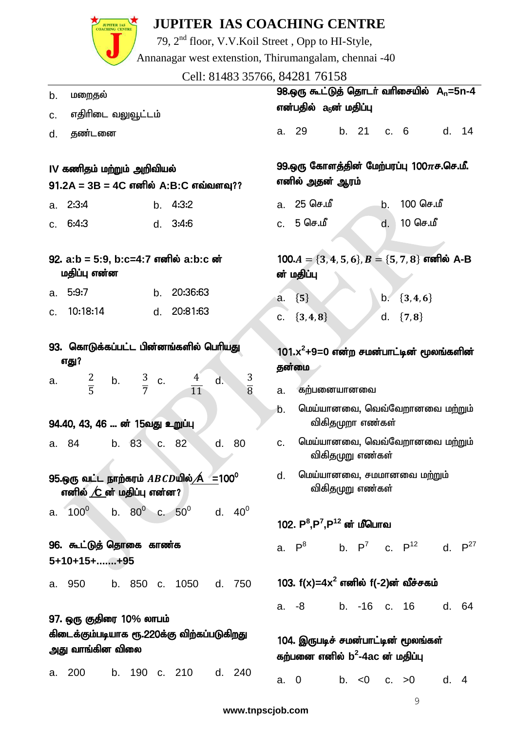

79, 2nd floor, V.V.Koil Street , Opp to HI-Style,

Annanagar west extenstion, Thirumangalam, chennai -40

Cell: 81483 35766, 84281 76158

| b.                                                                         | மறைதல்                                                                                                 |       |                     |    |                               |                                                                           |                                                                    |                                                                   | 98.ஒரு கூட்டுத் தொடர் வரிசையில் A <sub>n</sub> =5n-4               |  |                  |    |                                |      |       |  |
|----------------------------------------------------------------------------|--------------------------------------------------------------------------------------------------------|-------|---------------------|----|-------------------------------|---------------------------------------------------------------------------|--------------------------------------------------------------------|-------------------------------------------------------------------|--------------------------------------------------------------------|--|------------------|----|--------------------------------|------|-------|--|
| C.                                                                         | எதிரிடை வலுவூட்டம்                                                                                     |       |                     |    |                               |                                                                           |                                                                    |                                                                   | என்பதில்   a <sub>5</sub> ன் மதிப்பு                               |  |                  |    |                                |      |       |  |
| d.                                                                         | தண்டனை                                                                                                 |       |                     |    |                               |                                                                           |                                                                    |                                                                   | a. 29                                                              |  | b. 21 c. 6       |    |                                |      | d. 14 |  |
|                                                                            | IV கணிதம் மற்றும் அறிவியல்<br>$91.2A = 3B = 4C$ எனில் A:B:C எவ்வளவு??                                  |       |                     |    |                               |                                                                           |                                                                    | 99.ஒரு கோளத்தின் மேற்பரப்பு 100 $\pi$ ச.செ.மீ.<br>எனில் அதன் ஆரம் |                                                                    |  |                  |    |                                |      |       |  |
| a.                                                                         | 2:3:4                                                                                                  |       |                     |    | b. $4:3:2$                    |                                                                           |                                                                    | a.                                                                | 25 செ.மீ                                                           |  |                  | b. | 100 செ.மீ                      |      |       |  |
| C.                                                                         | 6:4:3                                                                                                  |       |                     |    | d. 3:4:6                      |                                                                           |                                                                    |                                                                   | c. 5 செ.மீ                                                         |  |                  | d. | 10 செ.மீ                       |      |       |  |
| 92. a:b = 5:9, b:c=4:7 எனில் a:b:c ன்<br>மதிப்பு என்ன<br>5:9:7<br>20:36:63 |                                                                                                        |       |                     |    |                               |                                                                           | 100. $A = \{3, 4, 5, 6\}, B = \{5, 7, 8\}$ எனில் A-B<br>ன் மதிப்பு |                                                                   |                                                                    |  |                  |    |                                |      |       |  |
| a.                                                                         | 10:18:14                                                                                               |       |                     | b. | 20:81:63                      |                                                                           |                                                                    | a.                                                                | ${5}$                                                              |  |                  |    | b. $\{3, 4, 6\}$               |      |       |  |
| C.                                                                         |                                                                                                        |       |                     | d. |                               |                                                                           |                                                                    | C.                                                                | ${3, 4, 8}$                                                        |  |                  |    | d. ${7, 8}$                    |      |       |  |
| a.                                                                         | 93. கொடுக்கப்பட்ட பின்னங்களில் பெரியது<br>எது?<br>$rac{2}{5}$                                          |       | b. $\frac{3}{7}$ c. |    | $\frac{4}{11}$                | d.                                                                        | $rac{3}{8}$                                                        | a.<br>b.                                                          | $101.x^2+9=0$ என்ற சமன்பாட்டின் மூலங்களின்<br>தன்மை<br>கற்பனையானவை |  |                  |    | மெய்யானவை, வெவ்வேறானவை மற்றும் |      |       |  |
|                                                                            | 94.40, 43, 46  ன் 15வது உறுப்பு                                                                        |       |                     |    |                               |                                                                           |                                                                    |                                                                   |                                                                    |  | விகிதமுறா எண்கள் |    |                                |      |       |  |
| a. 84                                                                      |                                                                                                        | b. 83 |                     | C. | 82                            | d.                                                                        | 80                                                                 | c.                                                                |                                                                    |  | விகிதமுறு எண்கள் |    | மெய்யானவை, வெவ்வேறானவை மற்றும் |      |       |  |
|                                                                            | 95.ஒரு வட்ட நாற்கரம் $ABCD$ யில் $\bigtriangleup$ =100 $^{\rm o}$<br>எனில் $\angle C$ ன் மதிப்பு என்ன? |       |                     |    |                               |                                                                           |                                                                    | d.                                                                | மெய்யானவை, சமமானவை மற்றும்                                         |  | விகிதமுறு எண்கள் |    |                                |      |       |  |
|                                                                            | a. $100^0$                                                                                             |       |                     |    | b. $80^0$ c. $50^0$ d. $40^0$ |                                                                           |                                                                    |                                                                   | 102. $P^8$ , $P^7$ , $P^{12}$ ன் மீபொவ                             |  |                  |    |                                |      |       |  |
|                                                                            | 96. கூட்டுத் தொகை காண்க<br>5+10+15++95                                                                 |       |                     |    |                               |                                                                           |                                                                    |                                                                   | a. $P^8$ b. $P^7$ c. $P^{12}$ d. $P^{27}$                          |  |                  |    |                                |      |       |  |
|                                                                            | a. 950                                                                                                 |       |                     |    | b. 850 c. 1050 d. 750         |                                                                           |                                                                    |                                                                   | 103. $f(x)=4x^2$ எனில் $f(-2)$ ன் வீச்சகம்                         |  |                  |    |                                |      |       |  |
|                                                                            |                                                                                                        |       |                     |    |                               |                                                                           |                                                                    |                                                                   | a. -8                                                              |  |                  |    | b. -16 c. 16 d. 64             |      |       |  |
|                                                                            | 97. ஒரு குதிரை 10% லாபம்<br>கிடைக்கும்படியாக ரூ.220க்கு விற்கப்படுகிறது<br>அது வாங்கின விலை            |       |                     |    |                               | 104. இருபடிச் சமன்பாட்டின் மூலங்கள்<br>கற்பனை எனில் $b^2$ -4ac ன் மதிப்பு |                                                                    |                                                                   |                                                                    |  |                  |    |                                |      |       |  |
| a. 200                                                                     |                                                                                                        |       |                     |    | b. 190 c. 210                 |                                                                           | d. 240                                                             | a.                                                                | $\mathbf 0$                                                        |  | b. $< 0$         |    | c. > 0                         | d. 4 |       |  |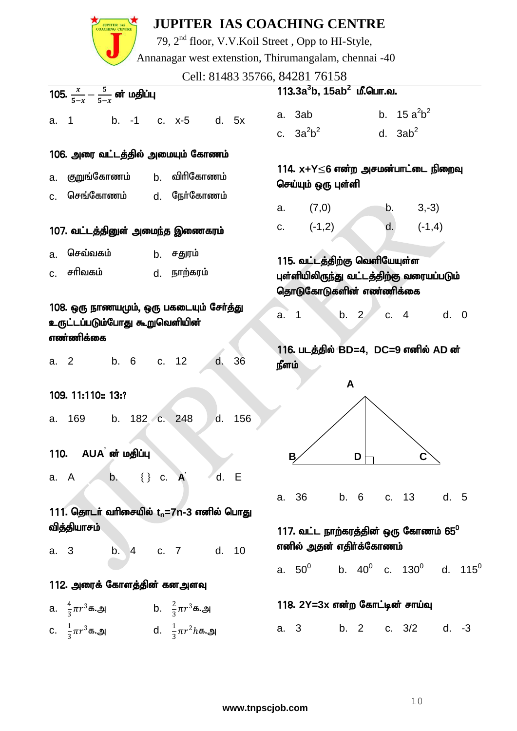|                                                                         |                                                                                         |    |            |                                                           |                                                                                                       |      |        |       | <b>JUPITER IAS COACHING CENTRE</b><br>79, 2 <sup>nd</sup> floor, V.V.Koil Street, Opp to HI-Style, |      |      |            |               |         |  |
|-------------------------------------------------------------------------|-----------------------------------------------------------------------------------------|----|------------|-----------------------------------------------------------|-------------------------------------------------------------------------------------------------------|------|--------|-------|----------------------------------------------------------------------------------------------------|------|------|------------|---------------|---------|--|
|                                                                         | Annanagar west extenstion, Thirumangalam, chennai -40<br>Cell: 81483 35766, 84281 76158 |    |            |                                                           |                                                                                                       |      |        |       |                                                                                                    |      |      |            |               |         |  |
|                                                                         | 105. $\frac{x}{5-x} - \frac{5}{5-x}$ ன் மதிப்பு                                         |    |            |                                                           |                                                                                                       |      |        |       | $113.3a3b$ , $15ab2$ மீ.பொ.வ.                                                                      |      |      |            |               |         |  |
| a.                                                                      | $\overline{1}$                                                                          |    |            |                                                           | b. -1 c. x-5 d. 5x                                                                                    |      |        |       | a. 3ab<br>c. $3a^2b^2$                                                                             |      |      | d. $3ab^2$ | b. $15a^2b^2$ |         |  |
|                                                                         | 106. அரை வட்டத்தில் அமையும் கோணம்                                                       |    |            |                                                           |                                                                                                       |      |        |       |                                                                                                    |      |      |            |               |         |  |
| b. விரிகோணம்<br>குறுங்கோணம்<br>a.<br>செங்கோணம்<br>நேர்கோணம்             |                                                                                         |    |            | 114. x+Y≤6 என்ற அசமன்பாட்டை நிறைவு<br>செய்யும் ஒரு புள்ளி |                                                                                                       |      |        |       |                                                                                                    |      |      |            |               |         |  |
| C <sub>r</sub>                                                          |                                                                                         |    |            | d.                                                        |                                                                                                       |      |        | a.    | (7,0)                                                                                              |      |      | b.         | $3,-3)$       |         |  |
|                                                                         | 107. வட்டத்தினுள் அமைந்த இணைகரம்                                                        |    |            |                                                           |                                                                                                       |      |        | C.    | $(-1,2)$                                                                                           |      |      | d.         | $(-1,4)$      |         |  |
| செவ்வகம்<br>b. சதுரம்<br>a.<br>சரிவகம்<br>நாற்கரம்<br>d.<br>$C_{\cdot}$ |                                                                                         |    |            |                                                           | 115. வட்டத்திற்கு வெளியேயுள்ள<br>புள்ளியிலிருந்து வட்டத்திற்கு வரையப்படும்<br>தொடுகோடுகளின் எண்ணிக்கை |      |        |       |                                                                                                    |      |      |            |               |         |  |
|                                                                         | 108. ஒரு நாணயமும், ஒரு பகடையும் சேர்த்து<br>உருட்டப்படும்போது கூறுவெளியின்<br>எண்ணிக்கை |    |            |                                                           |                                                                                                       |      | a.     | -1    |                                                                                                    | b. 2 | c. 4 |            | d. 0          |         |  |
| a.                                                                      | $\overline{2}$                                                                          |    | b. 6 c. 12 |                                                           |                                                                                                       | d.   | 36     | நீளம் | 116. படத்தில் BD=4, DC=9 எனில் AD ன்                                                               |      |      |            |               |         |  |
|                                                                         | 109. 11:110 = 13:?                                                                      |    |            |                                                           |                                                                                                       |      |        |       |                                                                                                    | A    |      |            |               |         |  |
|                                                                         | a. 169 b. 182 c. 248                                                                    |    |            |                                                           |                                                                                                       |      | d. 156 |       |                                                                                                    |      |      |            |               |         |  |
| 110.                                                                    | AUA ன் மதிப்பு                                                                          |    |            |                                                           |                                                                                                       |      |        |       | B                                                                                                  |      | D    |            | С             |         |  |
| a. A                                                                    |                                                                                         | b. | $\{\}$ c.  |                                                           | $\mathbf{A}$                                                                                          | d. E |        | a.    | 36                                                                                                 |      | b. 6 | c. 13      |               | d. 5    |  |
|                                                                         | 111. தொடர் வரிசையில் t <sub>n</sub> =7n-3 எனில் பொது                                    |    |            |                                                           |                                                                                                       |      |        |       |                                                                                                    |      |      |            |               |         |  |
| a. 3                                                                    | வித்தியாசம்                                                                             |    |            |                                                           | b. 4 c. 7 d. 10                                                                                       |      |        |       | 117. வட்ட நாற்கரத்தின் ஒரு கோணம் 65 $^{\rm o}$<br>எனில் அதன் எதிர்க்கோணம்                          |      |      |            |               |         |  |
|                                                                         |                                                                                         |    |            |                                                           |                                                                                                       |      |        |       | a. $50^0$ b. $40^0$ c. $130^0$ d. $115^0$                                                          |      |      |            |               |         |  |
|                                                                         | 112. அரைக் கோளத்தின் கனஅளவு                                                             |    |            |                                                           |                                                                                                       |      |        |       |                                                                                                    |      |      |            |               |         |  |
|                                                                         | a. $\frac{4}{3}\pi r^3$ க.அ b. $\frac{2}{3}\pi r^3$ க.அ                                 |    |            |                                                           |                                                                                                       |      |        |       | 118. 2Y=3x என்ற கோட்டின் சாய்வு                                                                    |      |      |            |               |         |  |
|                                                                         | c. $\frac{1}{3}\pi r^3$ க.அ d. $\frac{1}{3}\pi r^2 h$ க.அ                               |    |            |                                                           |                                                                                                       |      |        |       | a. 3 b. 2                                                                                          |      |      |            | c. $3/2$      | $d. -3$ |  |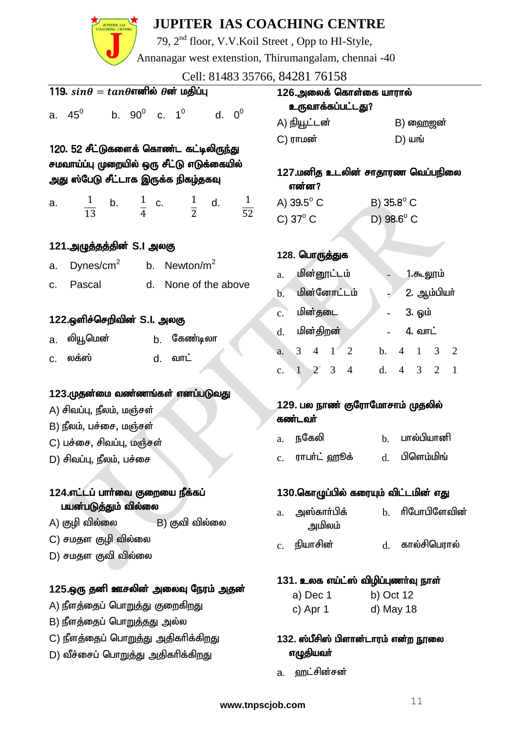

## **JUPITER IAS COACHING CENTRE**

79, 2nd floor, V.V.Koil Street , Opp to HI-Style,

Annanagar west extenstion, Thirumangalam, chennai -40

Cell: 81483 35766, 84281 76158

| CCII. 01409 99700, 04201 70190                                                    |                                                                                              |  |  |  |  |  |  |
|-----------------------------------------------------------------------------------|----------------------------------------------------------------------------------------------|--|--|--|--|--|--|
| 119. $sin\theta = tan\theta$ எனில் $\theta$ ன் மதிப்பு                            | 126.அலைக் கொள்கை யாரால்<br>உருவாக்கப்பட்டது?                                                 |  |  |  |  |  |  |
| a. $45^0$ b. $90^0$ c. $1^0$ d. $0^0$                                             | A) நியூட்டன்<br>B) ஹைஜன்                                                                     |  |  |  |  |  |  |
|                                                                                   | $C)$ ராமன்<br>$D)$ шы                                                                        |  |  |  |  |  |  |
| 120. 52 சீட்டுகளைக் கொண்ட கட்டிலிருந்து                                           |                                                                                              |  |  |  |  |  |  |
| சமவாய்ப்பு முறையில் ஒரு சீட்டு எடுக்கையில்<br>அது ஸ்பேடு சீட்டாக இருக்க நிகழ்தகவு | 127.மனித உடலின் சாதாரண வெப்பநிலை<br>என்ன?                                                    |  |  |  |  |  |  |
| a.                                                                                | A) $39.5^{\circ}$ C<br>B) 35.8° C                                                            |  |  |  |  |  |  |
| $\frac{1}{13}$ b. $\frac{1}{4}$ c. $\frac{1}{2}$ d. $\frac{1}{52}$                | C) $37^\circ$ C<br>D) $98.6^{\circ}$ C                                                       |  |  |  |  |  |  |
| 121.அழுத்தத்தின் S.I அலகு                                                         |                                                                                              |  |  |  |  |  |  |
| Dynes/cm <sup>2</sup> b. Newton/m <sup>2</sup><br>a.                              | 128. பொருத்துக                                                                               |  |  |  |  |  |  |
| d. None of the above<br>Pascal<br>C.                                              | மின்னூட்டம்<br>1.கூலூம்<br>a.                                                                |  |  |  |  |  |  |
|                                                                                   | மின்னோட்டம்<br>2. ஆம்பியா்<br>b.                                                             |  |  |  |  |  |  |
| 122.ஒளிச்செறிவின் S.I. அலகு                                                       | மின்தடை<br>3. ஓம்<br>$\mathbf{c}$ .                                                          |  |  |  |  |  |  |
| லியூமென்<br><b>b.</b> கேண்டிலா<br>a.                                              | மின்திறன்<br>4. வாட்<br>d.                                                                   |  |  |  |  |  |  |
| லக்ஸ்<br>வாட்                                                                     | $3 \t 4 \t 1 \t 2$<br>$4 \quad 1 \quad 3 \quad 2$<br>b.<br>a.                                |  |  |  |  |  |  |
| d.<br>C.                                                                          | $1 \quad 2 \quad 3 \quad 4$<br>$4 \quad 3 \quad 2$<br>d.<br>$\overline{1}$<br>$\mathbf{c}$ . |  |  |  |  |  |  |
| 123.முதன்மை வண்ணங்கள் எனப்படுவது                                                  |                                                                                              |  |  |  |  |  |  |
| A) சிவப்பு, நீலம், மஞ்சள்                                                         | 129. பல நாண் குரோமோசாம் முதலில்                                                              |  |  |  |  |  |  |
| B) நீலம், பச்சை, மஞ்சள்                                                           | கண்டவர்                                                                                      |  |  |  |  |  |  |
| C) பச்சை, சிவப்பு, மஞ்சள்                                                         | <b>b.</b> பால்பியானி<br>நகேலி<br>a.                                                          |  |  |  |  |  |  |
| D) சிவப்பு, நீலம், பச்சை                                                          | d. பிளெம்மிங்<br>ராபா்ட் ஹூக்<br>c.                                                          |  |  |  |  |  |  |
| 124.எட்டப் பார்வை குறையை நீக்கப்                                                  | 130.கொழுப்பில் கரையும் விட்டமின் எது                                                         |  |  |  |  |  |  |
| பயன்படுத்தும் வில்லை                                                              | ரிபோபிளேவின்<br>அஸ்காா்பிக்<br>$b$<br>a.                                                     |  |  |  |  |  |  |
| B) குவி வில்லை<br>A) குழி வில்லை                                                  | அமிலம்                                                                                       |  |  |  |  |  |  |
| C) சமதள குழி வில்லை                                                               | நியாசின்<br>d. கால்சிபெரால்<br>$\mathbf{c}$ .                                                |  |  |  |  |  |  |
| D) சமதள குவி வில்லை                                                               |                                                                                              |  |  |  |  |  |  |
|                                                                                   | 131. உலக எய்ட்ஸ் விழிப்புணர்வு நாள்                                                          |  |  |  |  |  |  |
| 125.ஒரு தனி ஊசலின் அலைவு நேரம் அதன்                                               | a) Dec 1<br>b) Oct 12                                                                        |  |  |  |  |  |  |
| A) நீளத்தைப் பொறுத்து குறைகிறது                                                   | c) Apr 1<br>d) May 18                                                                        |  |  |  |  |  |  |
| B) நீளத்தைப் பொறுத்தது அல்ல                                                       |                                                                                              |  |  |  |  |  |  |
| C) நீளத்தைப் பொறுத்து அதிகரிக்கிறது<br>D) வீச்சைப் பொறுத்து அதிகரிக்கிறது         | 132. ஸ்பீசிஸ் பிளான்டாரம் என்ற நூலை<br>எழுதியவா்                                             |  |  |  |  |  |  |
|                                                                                   | ஹட்சின்சன்<br>a.                                                                             |  |  |  |  |  |  |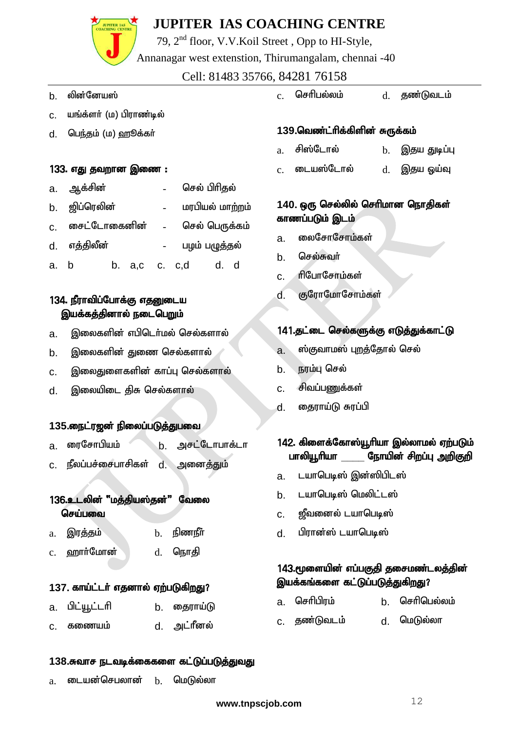# **JUPITER IAS**

## **JUPITER IAS COACHING CENTRE**

79, 2nd floor, V.V.Koil Street , Opp to HI-Style,

Annanagar west extenstion, Thirumangalam, chennai -40

#### Cell: 81483 35766, 84281 76158

- b. லின்னேயஸ்
- c. யங்க்ளர் (ம) பிராண்டில்
- d. பெந்தம் (ம) ஹூக்கா்

#### 133. எது தவறான இணை :

|      | a. ஆக்சின்    |               |  | செல் பிரிதல்    |  |  |  |  |
|------|---------------|---------------|--|-----------------|--|--|--|--|
|      | b. ஜிப்ரெலின் |               |  | மரபியல் மாற்றம் |  |  |  |  |
| C.   | கைட்டோகைனின்  |               |  | செல் பெருக்கம்  |  |  |  |  |
|      | d. எத்திலீன்  |               |  | பழம் பழுத்தல்   |  |  |  |  |
| a. b |               | b. a,c c. c,d |  | d.              |  |  |  |  |

#### 134. நீராவிப்போக்கு எதனுடைய இயக்கத்தினால் நடைபெறும்

- a. இலைகளின் எபிடெர்மல் செல்களால்
- b. இலைகளின் துணை செல்களால்
- <u>c. இலைது</u>ளைகளின் காப்பு செல்களால்
- d. இலையிடை கிசு செல்களால்

#### 135.நைட்ரஜன் நிலைப்படுத்துபவை

- a ரைசோபியம் , b. அசட்டோபாக்டா
- c. நீலப்பச்சைபாசிகள் d. அனைத்தும்

#### 136.உடலின் "மக்கியஸ்கன்" வேலை செய்பவை

| இரத்தம்<br>a. |  | $b.$ நிணநீர் |
|---------------|--|--------------|
|---------------|--|--------------|

 $c.$  ஹார்மோன்  $d.$  நொதி

#### 137. காய்ட்டர் எதனால் ஏற்படுகிறது?

- a. பிட்யூட்டரி b. தைராய்டு
- c. கணையம் d. அட்ரீனல்

#### 138.சுவாச நடவடிக்கைகளை கட்டுப்படுத்துவது

 $a$ . டையன்செபலான்  $b$ . மெடுல்லா

 $c.$  செரிபல்லம்  $d.$  சுணா்டுவடம்

#### 139.வெண்ட்ரிக்கிளின் சுருக்கம்

- $a$ . சிஸ்டோல் b. இதய துடிப்பு
- c. டையஸ்டோல் d. இதய ஒய்வு

#### 140. ஒரு செல்லில் செரிமான நொதிகள் காணப்படும் இடம்

- a. <del>லைசோசோம்க</del>ள்
- b. செல்சுவர்
- c. flபோசோம்கள்
- d. குரோமோசோம்கள்

#### 141.தட்டை செல்களுக்கு எடுத்துக்காட்டு

- a. ஸ்குவாமஸ் புறத்தோல் செல்
- b. நரம்பு செல்
- c. சிவப்பணுக்கள்
- d. தைராய்டு சுரப்பி

#### 142. கிளைக்கோஸ்யூரியா இல்லாமல் ஏற்படும் பாலியூரியா நோயின் சிறப்பு <u>அ</u>றிகுறி

- a. டயாபெடிஸ் இன்ஸிபிடஸ்
- b. டயாபெடிஸ் மெலிட்டஸ்
- c. உஜீவனைல் டயாபெடிஸ்
- d. பிரான்ஸ் டயாபெடிஸ்

#### 143.மூளையின் எப்பகுதி தசைமண்டலத்தின் இயக்கங்களை கட்டுப்படுத்துகிறது?

- a. செரிபிரம் b. செரிபெல்லம்
- c. தண்டுவடம் d. மெடுல்லா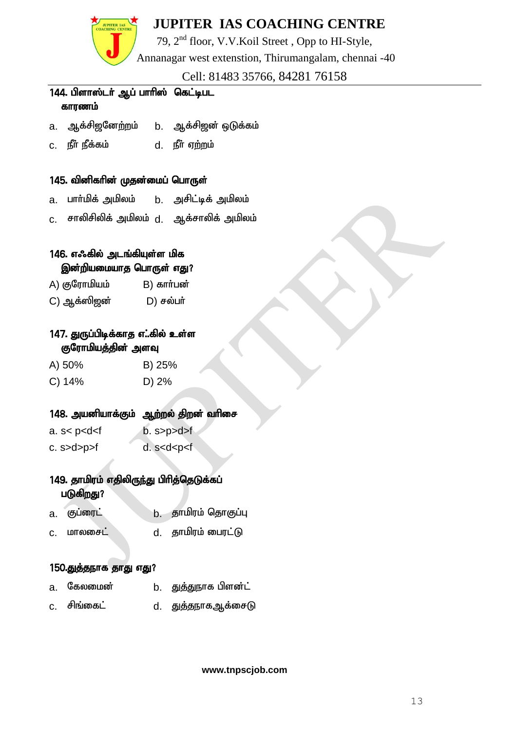

79, 2nd floor, V.V.Koil Street , Opp to HI-Style,

Annanagar west extenstion, Thirumangalam, chennai -40

Cell: 81483 35766, 84281 76158

#### 144. பிளாஸ்டர் ஆப் பாரிஸ் கெட்டிபட காரணம்

- a. ஆக்சிஜனேற்றம் b. ஆக்சிஜன் ஒடுக்கம்
- c. ePh; ePf;fk; d. ePh; Vw;wk;

#### 145. வினிகரின் முதன்மைப் பொருள்

- a. பார்மிக் அமிலம் b. அசிட்டிக் அமிலம்
- c. சாலிசிலிக் அமிலம் d. ஆக்சாலிக் அமிலம்

#### 146. எஃகில் அடங்கியுள்ள மிக இன்றியமையாத பொருள் எது?

- A) குரோமியம் B) கார்பன்
- C) ஆக்ஸிஜன் D) சல்பா்

#### 147. துருப்பிடிக்காத எ..கில் உள்ள குரோமியத்தின் அளவு

- A) 50% B) 25%
- C) 14% D) 2%

#### 148. அயனியாக்கும் ஆற்றல் திறன் வரிசை

- a. s< p<d<f b. s>p>d>f
- c.  $s > d > p > f$  d.  $s < d < p < f$

#### 149. தாமிரம் எதிலிருந்து பிரித்தெடுக்கப் படுகிறது?

- a. குப்ரைட் b. தாமிரம் தொகுப்பு
- c. மாலசைட் d. தாமிரம் பைரட்டு

#### 150.துத்தநாக தாது எது?

- a. கேலமைன் b. துத்துநாக பிளன்ட்
- c. சிங்கைட் d. துத்தநாகஆக்சைடு

**www.tnpscjob.com**